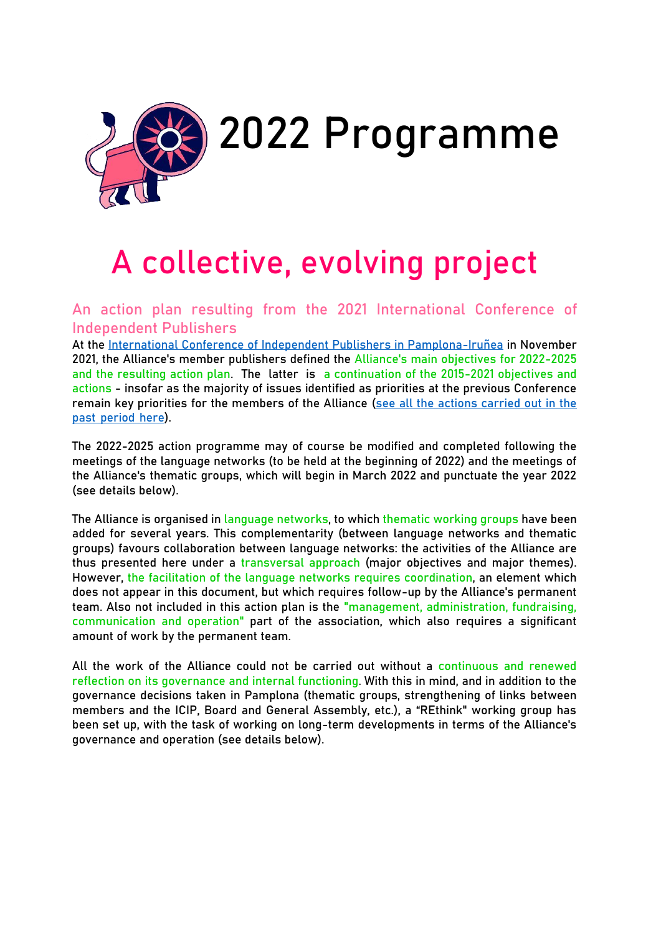

# **A collective, evolving project**

**An action plan resulting from the 2021 International Conference of Independent Publishers**

At the [International Conference of Independent Publishers in Pamplona-Iruñea](https://www.alliance-editeurs.org/for-a-decolonial-ecological%2C1799?lang=en) in November 2021, the Alliance's member publishers defined the **Alliance's main objectives for 2022-2025 and the resulting action plan**. The latter is **a continuation of the 2015-2021 objectives and actions** - insofar as the majority of issues identified as priorities at the previous Conference remain key priorities for the members of the Alliance (see all the [actions carried out in the](https://www.alliance-editeurs.org/-activities%2C179-?lang=en) past [period](https://www.alliance-editeurs.org/-activities%2C179-?lang=en) here).

The 2022-2025 action programme may of course be modified and completed following the meetings of the language networks (to be held at the beginning of 2022) and the meetings of the Alliance's thematic groups, which will begin in March 2022 and punctuate the year 2022 (see details below).

The Alliance is organised in **language networks**, to which **thematic working groups** have been added for several years. This complementarity (between language networks and thematic groups) favours collaboration between language networks: the activities of the Alliance are thus presented here under a **transversal approach** (major objectives and major themes). However, **the facilitation of the language networks requires coordination**, an element which does not appear in this document, but which requires follow-up by the Alliance's permanent team. Also not included in this action plan is the **"management, administration, fundraising, communication and operation"** part of the association, which also requires a significant amount of work by the permanent team.

All the work of the Alliance could not be carried out without a **continuous and renewed reflection on its governance and internal functioning**. With this in mind, and in addition to the governance decisions taken in Pamplona (thematic groups, strengthening of links between members and the ICIP, Board and General Assembly, etc.), a "REthink" working group has been set up, with the task of working on long-term developments in terms of the Alliance's governance and operation (see details below).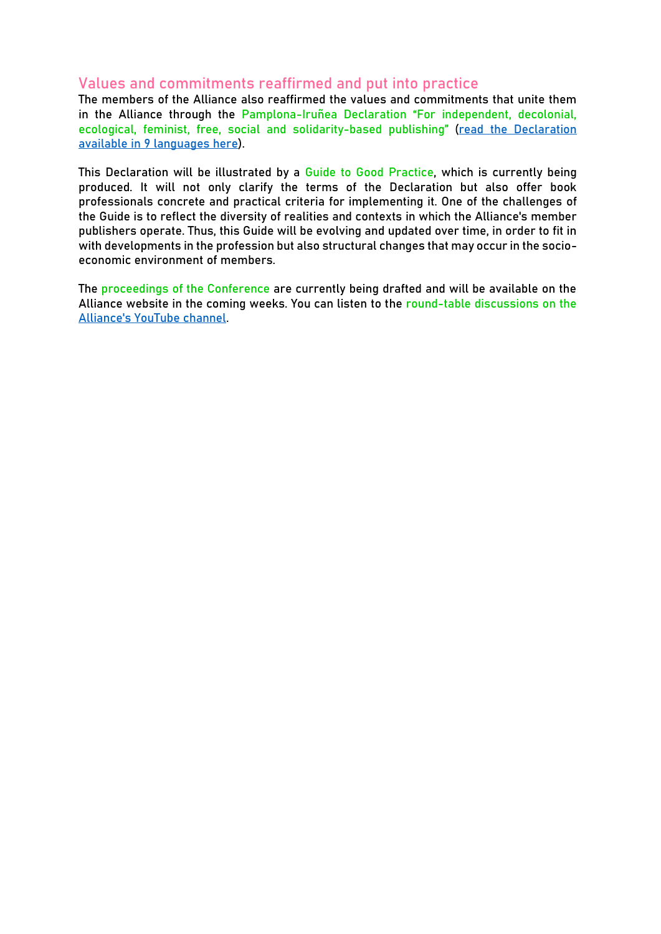### **Values and commitments reaffirmed and put into practice**

The members of the Alliance also reaffirmed the values and commitments that unite them in the Alliance through the **Pamplona-Iruñea Declaration "For independent, decolonial, ecological, feminist, free, social and solidarity-based publishing"** (read the Declaration available [in](https://www.alliance-editeurs.org/pamplona-irunea-declaration-for%2C1803?lang=en) 9 [languages](https://www.alliance-editeurs.org/pamplona-irunea-declaration-for%2C1803?lang=en) here).

This Declaration will be illustrated by a **Guide to Good Practice**, which is currently being produced. It will not only clarify the terms of the Declaration but also offer book professionals concrete and practical criteria for implementing it. One of the challenges of the Guide is to reflect the diversity of realities and contexts in which the Alliance's member publishers operate. Thus, this Guide will be evolving and updated over time, in order to fit in with developments in the profession but also structural changes that may occur in the socioeconomic environment of members.

The **proceedings of the Conference** are currently being drafted and will be available on the Alliance website in the coming weeks. You can listen to the **round-table discussions on the** [Alliance's](https://www.youtube.com/channel/UCOY4v9EDyqNAknbwUqE0Ysw) YouTube channel.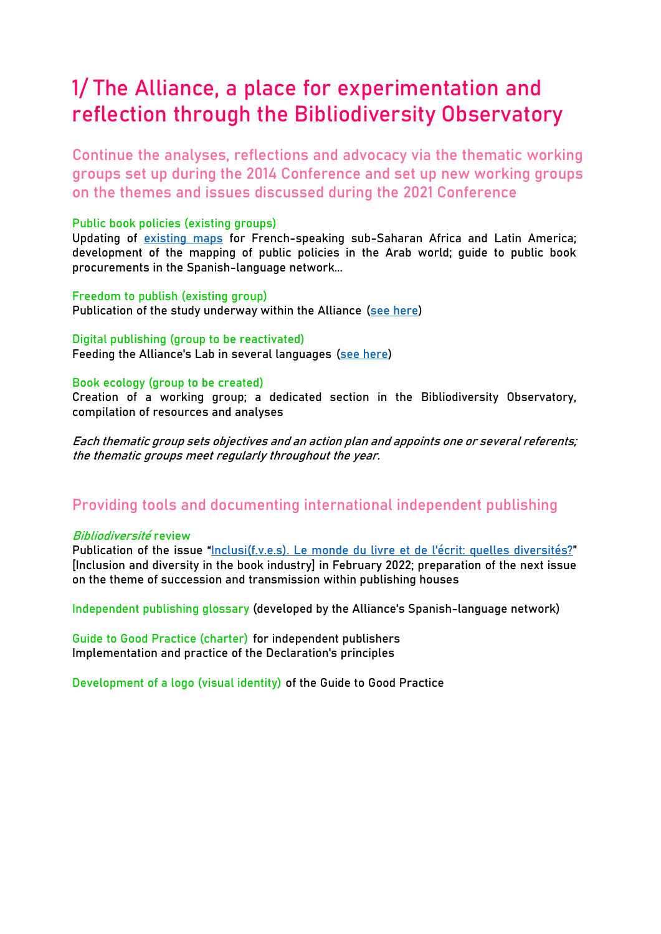# **1/ The Alliance, a place for experimentation and reflection through the Bibliodiversity Observatory**

**Continue the analyses, reflections and advocacy via the thematic working groups set up during the 2014 Conference and set up new working groups on the themes and issues discussed during the 2021 Conference**

#### **Public book policies (existing groups)**

Updating of [existing](https://publicbookpolicies.alliance-editeurs.org/fr/) maps for French-speaking sub-Saharan Africa and Latin America; development of the mapping of public policies in the Arab world; guide to public book procurements in the Spanish-language network...

#### **Freedom to publish (existing group)**

Publication of the study underway within the Alliance (see [here\)](https://www.alliance-editeurs.org/-liberte-d-expression-liberte-d-190-?lang=en)

#### **Digital publishing (group to be reactivated)**

Feeding the Alliance's Lab in several languages (see [here\)](http://alliance-lab.org/category/surveys-and-analysis/)

#### **Book ecology (group to be created)**

Creation of a working group; a dedicated section in the Bibliodiversity Observatory, compilation of resources and analyses

Each thematic group sets objectives and an action plan and appoints one or several referents; the thematic groups meet regularly throughout the year.

## **Providing tools and documenting international independent publishing**

#### **Bibliodiversité review**

Publication of the issue "[Inclusi\(f.v.e.s\). Le monde du livre et de l'écrit: quelles diversités?](https://www.alliance-editeurs.org/-bibliodiversity-journal%2C118-?lang=en)" [Inclusion and diversity in the book industry] in February 2022; preparation of the next issue on the theme of succession and transmission within publishing houses

**Independent publishing glossary** (developed by the Alliance's Spanish-language network)

**Guide to Good Practice (charter)** for independent publishers Implementation and practice of the Declaration's principles

**Development of a logo (visual identity)** of the Guide to Good Practice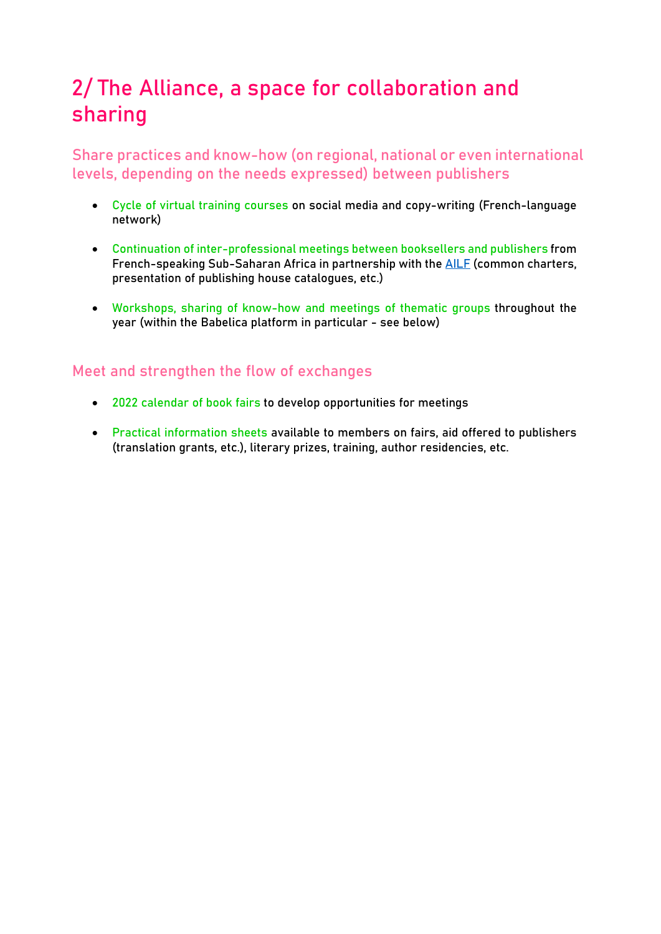# **2/ The Alliance, a space for collaboration and sharing**

**Share practices and know-how (on regional, national or even international levels, depending on the needs expressed) between publishers**

- **Cycle of virtual training courses** on social media and copy-writing (French-language network)
- **Continuation of inter-professional meetings between booksellers and publishers** from French-speaking Sub-Saharan Africa in partnership with the [AILF](https://www.librairesfrancophones.org/) (common charters, presentation of publishing house catalogues, etc.)
- **Workshops, sharing of know-how and meetings of thematic groups** throughout the year (within the Babelica platform in particular - see below)

## **Meet and strengthen the flow of exchanges**

- **2022 calendar of book fairs** to develop opportunities for meetings
- **Practical information sheets** available to members on fairs, aid offered to publishers (translation grants, etc.), literary prizes, training, author residencies, etc.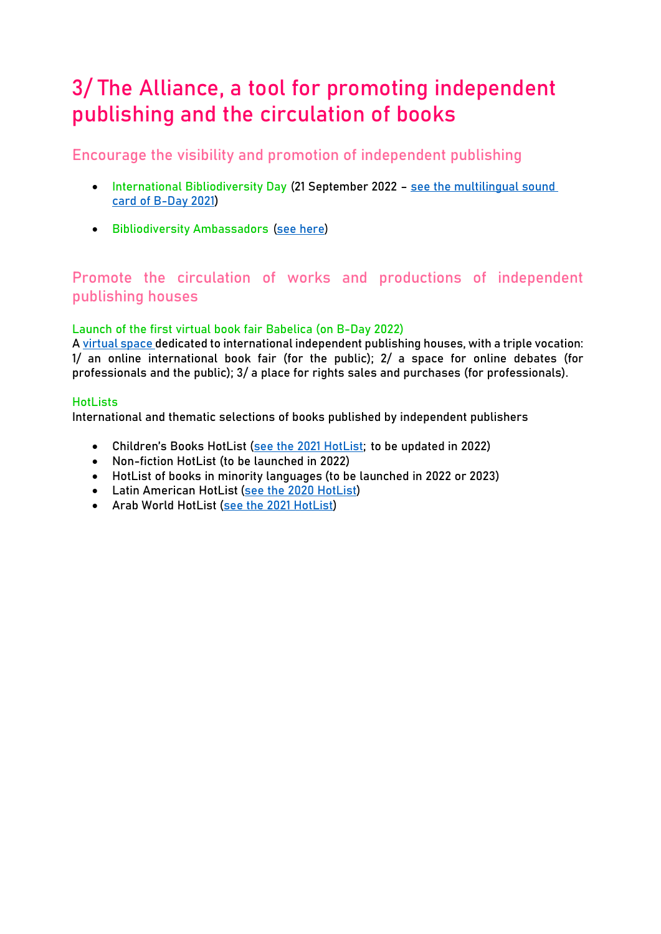# **3/ The Alliance, a tool for promoting independent publishing and the circulation of books**

**Encourage the visibility and promotion of independent publishing**

- **International Bibliodiversity Day (21 September 2022 [see the multilingual sound](https://jourb2021.alliance-editeurs.org/)** [card of B-Day 2021\)](https://jourb2021.alliance-editeurs.org/)
- **•** Bibliodiversity Ambassadors [\(see here\)](https://youtu.be/HLmmI-kl7Hg?list=PLg1yVxqi3HBYn5wF9s9qwFY1Ac2zfdxmM)

# **Promote the circulation of works and productions of independent publishing houses**

#### **Launch of the first virtual book fair Babelica (on B-Day 2022)**

[A virtual](https://babelica.alliance-editeurs.org/en/) space dedicated to international independent publishing houses, with a triple vocation: 1/ an online international book fair (for the public); 2/ a space for online debates (for professionals and the public); 3/ a place for rights sales and purchases (for professionals).

#### **HotLists**

International and thematic selections of books published by independent publishers

- **Children's Books HotList** [\(see the 2021 HotList;](https://childrenbookshotlist.alliance-editeurs.org/en/home/) to be updated in 2022)
- **Non-fiction HotList** (to be launched in 2022)
- **HotList of books in minority languages** (to be launched in 2022 or 2023)
- **Latin American HotList** [\(see the 2020 HotList\)](https://hotlist.alliance-editeurs.org/)
- **Arab World HotList** [\(see the 2021 HotList\)](https://arabhotlist.alliance-editeurs.org/)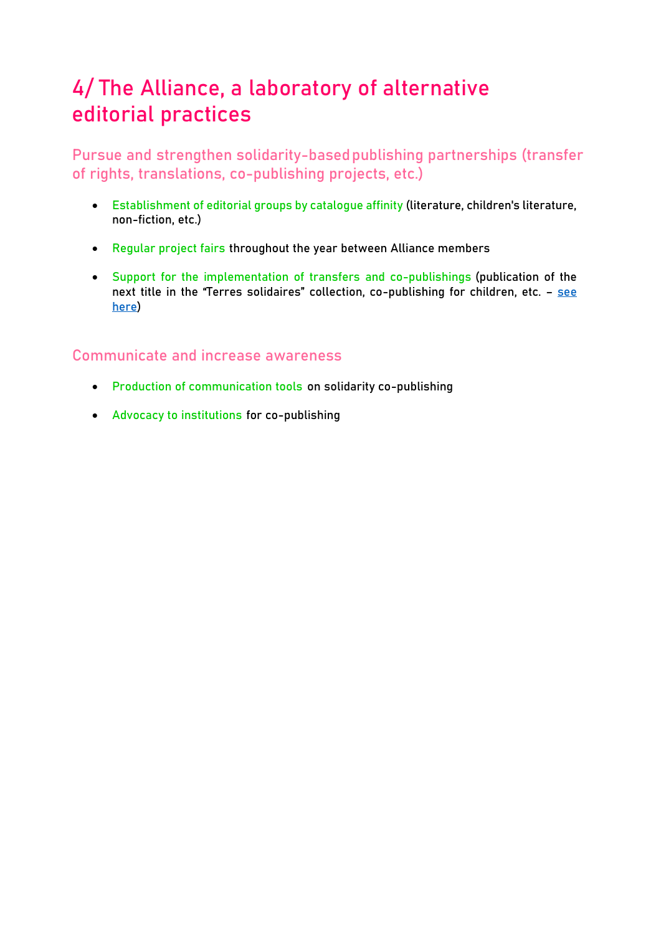# **4/ The Alliance, a laboratory of alternative editorial practices**

**Pursue and strengthen solidarity-basedpublishing partnerships (transfer of rights, translations, co-publishing projects, etc.)**

- **Establishment of editorial groups by catalogue affinity** (literature, children's literature, non-fiction, etc.)
- **Regular project fairs** throughout the year between Alliance members
- **Support for the implementation of transfers and co-publishings** (publication of the next title in the "Terres solidaires" collection, co-publishing for children, etc. - [see](https://www.alliance-editeurs.org/%2B-terres-solidaires%2C511-%2B?lang=en) [here\)](https://www.alliance-editeurs.org/%2B-terres-solidaires%2C511-%2B?lang=en)

# **Communicate and increase awareness**

- **Production of communication tools** on solidarity co-publishing
- **Advocacy to institutions** for co-publishing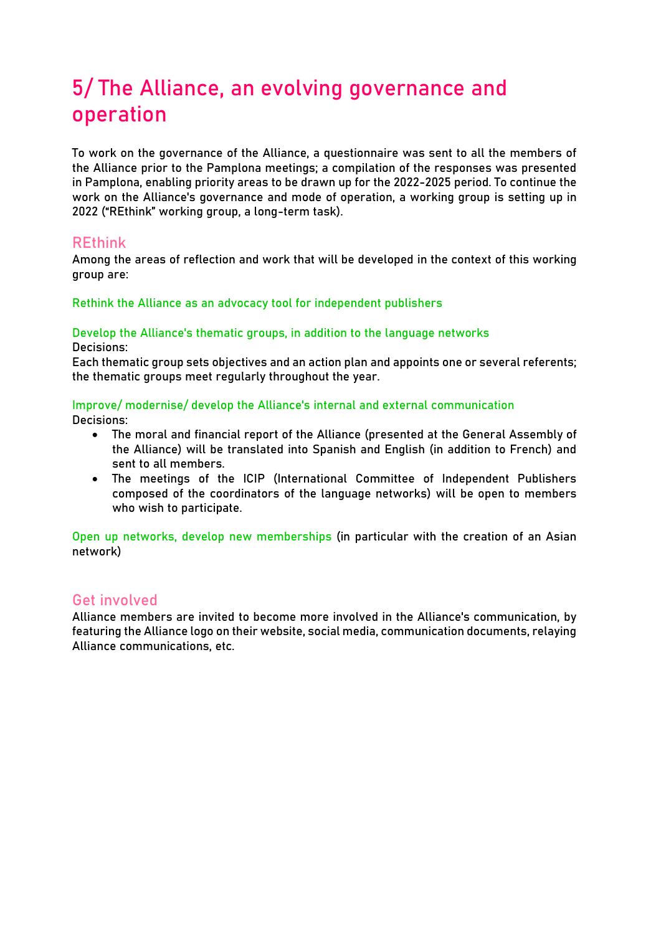# **5/ The Alliance, an evolving governance and operation**

To work on the governance of the Alliance, a questionnaire was sent to all the members of the Alliance prior to the Pamplona meetings; a compilation of the responses was presented in Pamplona, enabling priority areas to be drawn up for the 2022-2025 period. To continue the work on the Alliance's governance and mode of operation, a working group is setting up in 2022 ("REthink" working group, a long-term task).

## **REthink**

Among the areas of reflection and work that will be developed in the context of this working group are:

#### **Rethink the Alliance as an advocacy tool for independent publishers**

#### **Develop the Alliance's thematic groups, in addition to the language networks Decisions:**

Each thematic group sets objectives and an action plan and appoints one or several referents; the thematic groups meet regularly throughout the year.

### **Improve/ modernise/ develop the Alliance's internal and external communication**

**Decisions:**

- The moral and financial report of the Alliance (presented at the General Assembly of the Alliance) will be translated into Spanish and English (in addition to French) and sent to all members.
- The meetings of the ICIP (International Committee of Independent Publishers composed of the coordinators of the language networks) will be open to members who wish to participate.

**Open up networks, develop new memberships** (in particular with the creation of an Asian network)

### **Get involved**

Alliance members are invited to become more involved in the Alliance's communication, by featuring the Alliance logo on their website, social media, communication documents, relaying Alliance communications, etc.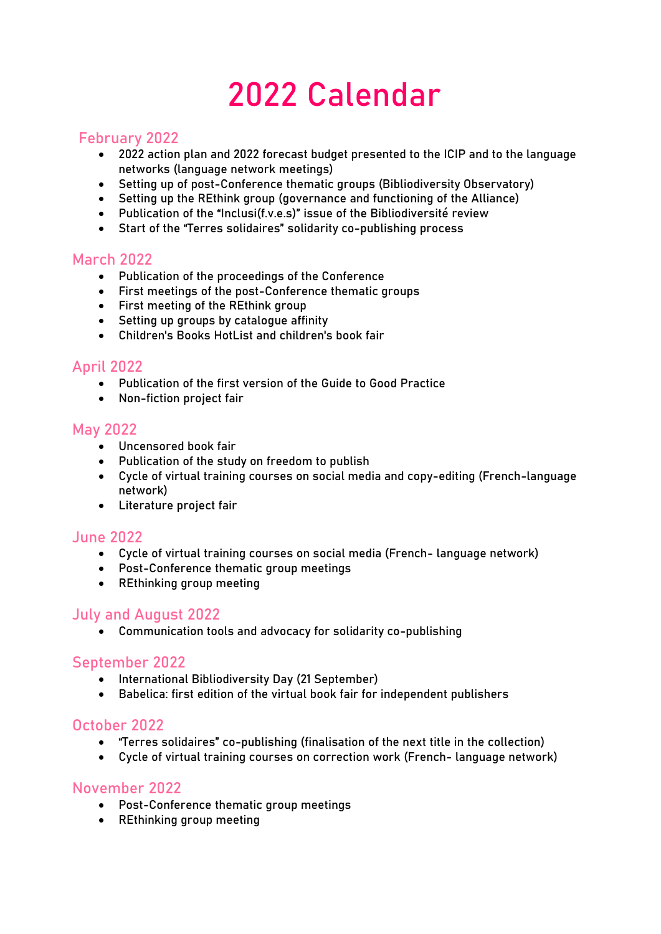# **2022 Calendar**

### **February 2022**

- 2022 action plan and 2022 forecast budget presented to the ICIP and to the language networks (language network meetings)
- Setting up of post-Conference thematic groups (Bibliodiversity Observatory)
- Setting up the REthink group (governance and functioning of the Alliance)
- Publication of the "Inclusi(f.v.e.s)" issue of the Bibliodiversité review
- Start of the "Terres solidaires" solidarity co-publishing process

### **March 2022**

- Publication of the proceedings of the Conference
- First meetings of the post-Conference thematic groups
- First meeting of the REthink group
- Setting up groups by catalogue affinity
- Children's Books HotList and children's book fair

### **April 2022**

- Publication of the first version of the Guide to Good Practice
- Non-fiction project fair

#### **May 2022**

- Uncensored book fair
- Publication of the study on freedom to publish
- Cycle of virtual training courses on social media and copy-editing (French-language network)
- Literature project fair

### **June 2022**

- Cycle of virtual training courses on social media (French- language network)
- Post-Conference thematic group meetings
- REthinking group meeting

### **July and August 2022**

Communication tools and advocacy for solidarity co-publishing

#### **September 2022**

- **•** International Bibliodiversity Day (21 September)
- Babelica: first edition of the virtual book fair for independent publishers

### **October 2022**

- "Terres solidaires" co-publishing (finalisation of the next title in the collection)
- Cycle of virtual training courses on correction work (French- language network)

### **November 2022**

- Post-Conference thematic group meetings
- REthinking group meeting